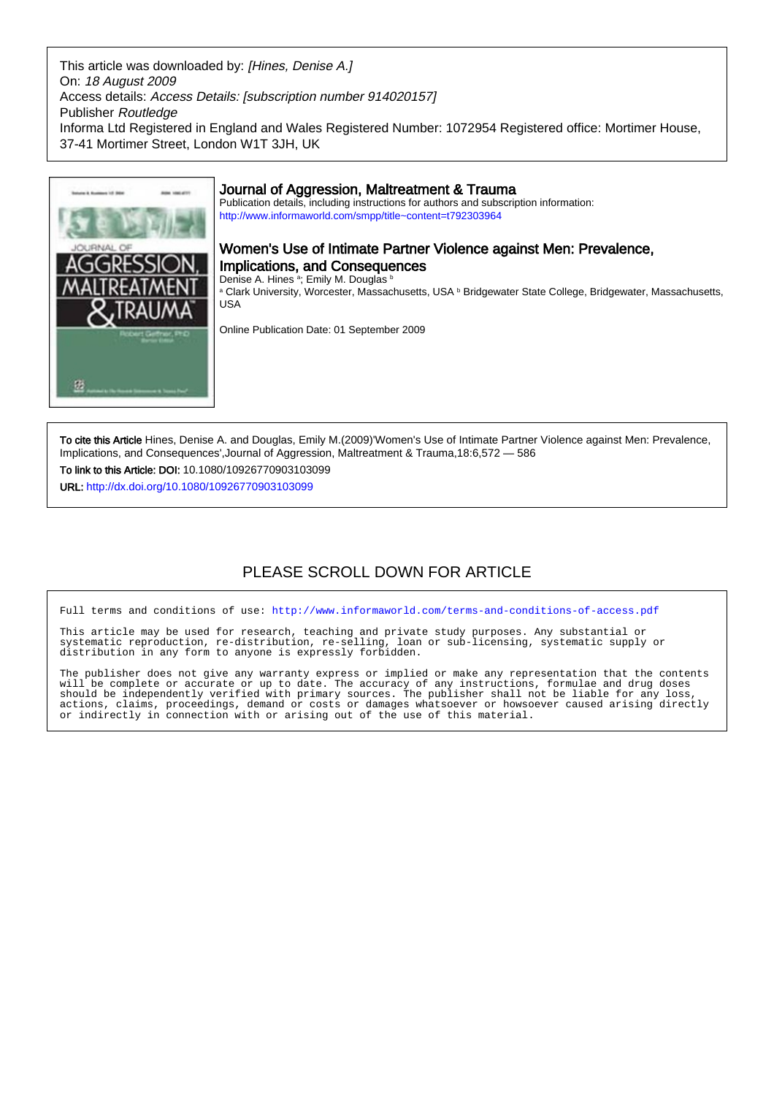This article was downloaded by: [Hines, Denise A.] On: 18 August 2009 Access details: Access Details: [subscription number 914020157] Publisher Routledge Informa Ltd Registered in England and Wales Registered Number: 1072954 Registered office: Mortimer House, 37-41 Mortimer Street, London W1T 3JH, UK



To cite this Article Hines, Denise A. and Douglas, Emily M.(2009)'Women's Use of Intimate Partner Violence against Men: Prevalence, Implications, and Consequences',Journal of Aggression, Maltreatment & Trauma,18:6,572 — 586 To link to this Article: DOI: 10.1080/10926770903103099

URL: <http://dx.doi.org/10.1080/10926770903103099>

# PLEASE SCROLL DOWN FOR ARTICLE

Full terms and conditions of use:<http://www.informaworld.com/terms-and-conditions-of-access.pdf>

This article may be used for research, teaching and private study purposes. Any substantial or systematic reproduction, re-distribution, re-selling, loan or sub-licensing, systematic supply or distribution in any form to anyone is expressly forbidden.

The publisher does not give any warranty express or implied or make any representation that the contents will be complete or accurate or up to date. The accuracy of any instructions, formulae and drug doses should be independently verified with primary sources. The publisher shall not be liable for any loss, actions, claims, proceedings, demand or costs or damages whatsoever or howsoever caused arising directly or indirectly in connection with or arising out of the use of this material.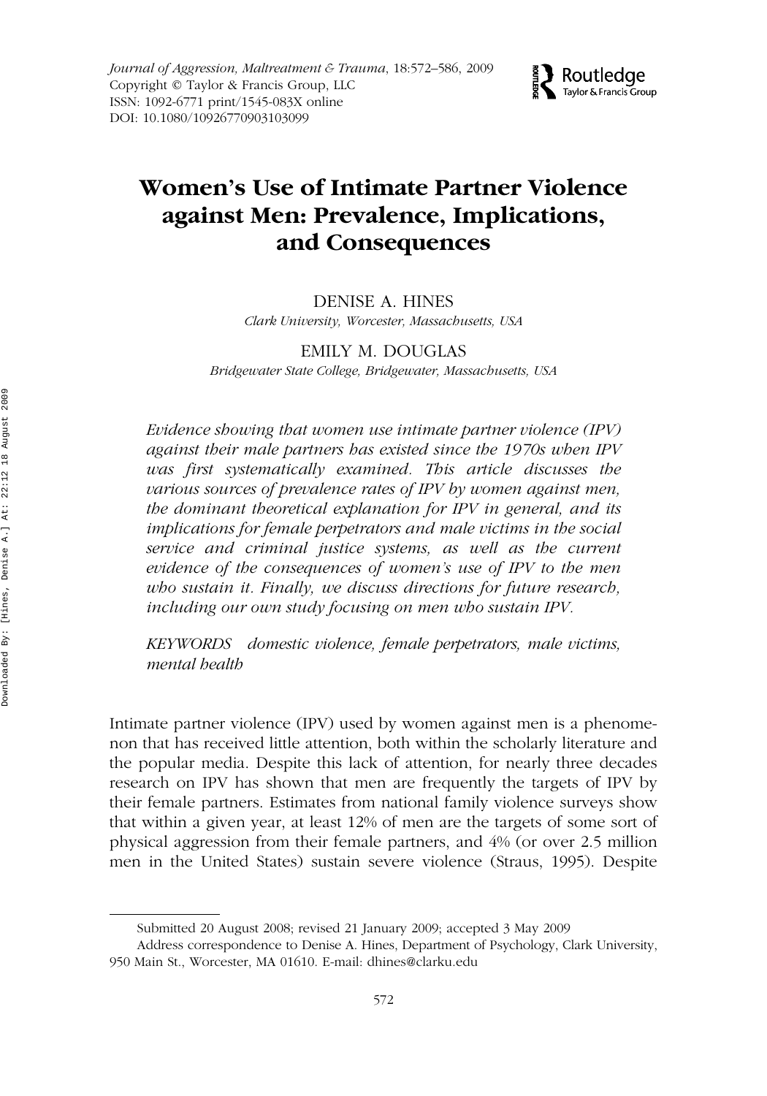

# WAMT 1092-6771 1545-083XJournal of Aggression, Maltreatment & Trauma, Vol. 18, No. 6, Jul 2009: pp. 0–0 Trauma **Women's Use of Intimate Partner Violence against Men: Prevalence, Implications, and Consequences**

DENISE A. HINES *Clark University, Worcester, Massachusetts, USA*

EMILY M. DOUGLAS *Bridgewater State College, Bridgewater, Massachusetts, USA*

*Evidence showing that women use intimate partner violence (IPV) against their male partners has existed since the 1970s when IPV was first systematically examined. This article discusses the various sources of prevalence rates of IPV by women against men, the dominant theoretical explanation for IPV in general, and its implications for female perpetrators and male victims in the social service and criminal justice systems, as well as the current evidence of the consequences of women's use of IPV to the men who sustain it. Finally, we discuss directions for future research, including our own study focusing on men who sustain IPV.*

*KEYWORDS domestic violence, female perpetrators, male victims, mental health*

Intimate partner violence (IPV) used by women against men is a phenomenon that has received little attention, both within the scholarly literature and the popular media. Despite this lack of attention, for nearly three decades research on IPV has shown that men are frequently the targets of IPV by their female partners. Estimates from national family violence surveys show that within a given year, at least 12% of men are the targets of some sort of physical aggression from their female partners, and 4% (or over 2.5 million men in the United States) sustain severe violence (Straus, 1995). Despite

Submitted 20 August 2008; revised 21 January 2009; accepted 3 May 2009

Address correspondence to Denise A. Hines, Department of Psychology, Clark University, 950 Main St., Worcester, MA 01610. E-mail: dhines@clarku.edu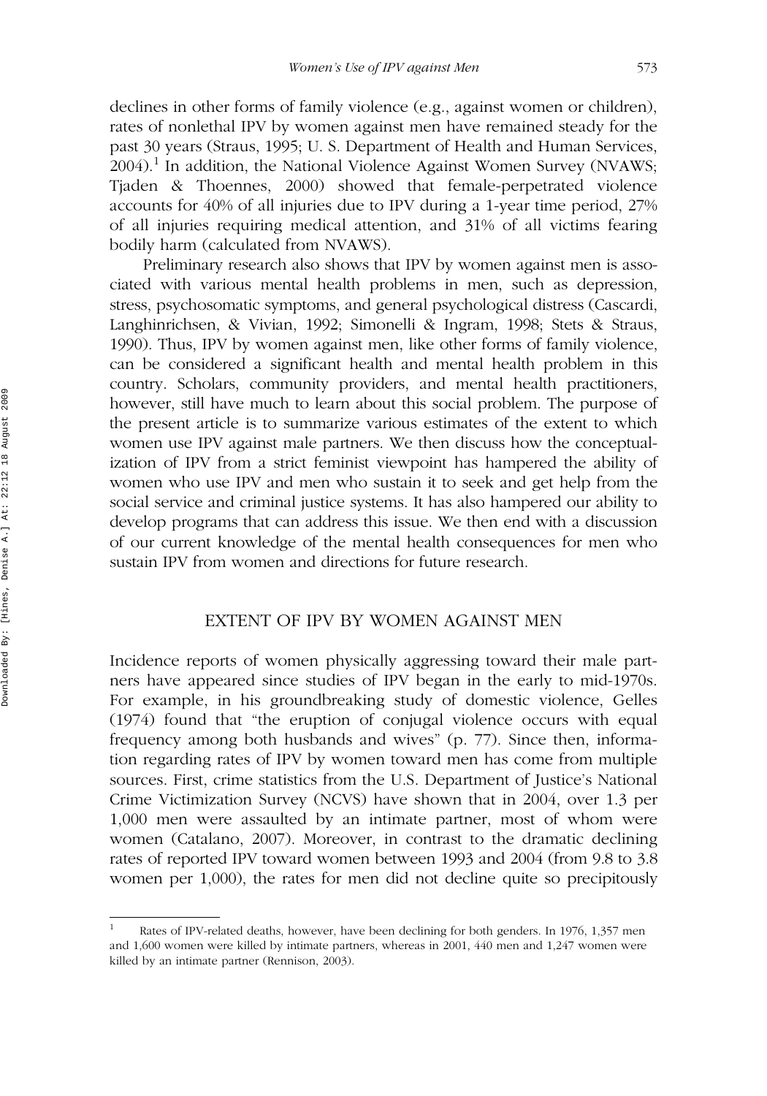declines in other forms of family violence (e.g., against women or children), rates of nonlethal IPV by women against men have remained steady for the past 30 years (Straus, 1995; U. S. Department of Health and Human Services,  $2004$ ).<sup>1</sup> In addition, the National Violence Against Women Survey (NVAWS; Tjaden & Thoennes, 2000) showed that female-perpetrated violence accounts for 40% of all injuries due to IPV during a 1-year time period, 27% of all injuries requiring medical attention, and 31% of all victims fearing bodily harm (calculated from NVAWS).

Preliminary research also shows that IPV by women against men is associated with various mental health problems in men, such as depression, stress, psychosomatic symptoms, and general psychological distress (Cascardi, Langhinrichsen, & Vivian, 1992; Simonelli & Ingram, 1998; Stets & Straus, 1990). Thus, IPV by women against men, like other forms of family violence, can be considered a significant health and mental health problem in this country. Scholars, community providers, and mental health practitioners, however, still have much to learn about this social problem. The purpose of the present article is to summarize various estimates of the extent to which women use IPV against male partners. We then discuss how the conceptualization of IPV from a strict feminist viewpoint has hampered the ability of women who use IPV and men who sustain it to seek and get help from the social service and criminal justice systems. It has also hampered our ability to develop programs that can address this issue. We then end with a discussion of our current knowledge of the mental health consequences for men who sustain IPV from women and directions for future research.

# EXTENT OF IPV BY WOMEN AGAINST MEN

Incidence reports of women physically aggressing toward their male partners have appeared since studies of IPV began in the early to mid-1970s. For example, in his groundbreaking study of domestic violence, Gelles (1974) found that "the eruption of conjugal violence occurs with equal frequency among both husbands and wives" (p. 77). Since then, information regarding rates of IPV by women toward men has come from multiple sources. First, crime statistics from the U.S. Department of Justice's National Crime Victimization Survey (NCVS) have shown that in 2004, over 1.3 per 1,000 men were assaulted by an intimate partner, most of whom were women (Catalano, 2007). Moreover, in contrast to the dramatic declining rates of reported IPV toward women between 1993 and 2004 (from 9.8 to 3.8 women per 1,000), the rates for men did not decline quite so precipitously

Rates of IPV-related deaths, however, have been declining for both genders. In 1976, 1,357 men and 1,600 women were killed by intimate partners, whereas in 2001, 440 men and 1,247 women were killed by an intimate partner (Rennison, 2003).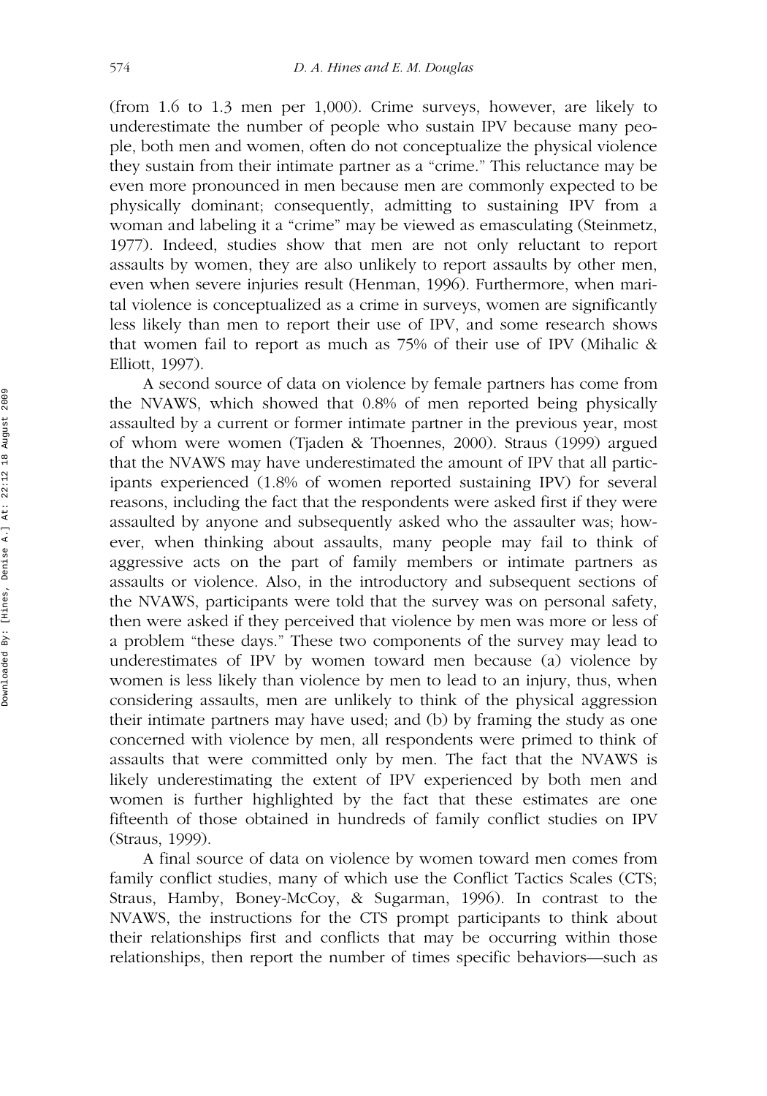(from 1.6 to 1.3 men per 1,000). Crime surveys, however, are likely to underestimate the number of people who sustain IPV because many people, both men and women, often do not conceptualize the physical violence they sustain from their intimate partner as a "crime." This reluctance may be even more pronounced in men because men are commonly expected to be physically dominant; consequently, admitting to sustaining IPV from a woman and labeling it a "crime" may be viewed as emasculating (Steinmetz, 1977). Indeed, studies show that men are not only reluctant to report assaults by women, they are also unlikely to report assaults by other men, even when severe injuries result (Henman, 1996). Furthermore, when marital violence is conceptualized as a crime in surveys, women are significantly less likely than men to report their use of IPV, and some research shows that women fail to report as much as 75% of their use of IPV (Mihalic & Elliott, 1997).

A second source of data on violence by female partners has come from the NVAWS, which showed that 0.8% of men reported being physically assaulted by a current or former intimate partner in the previous year, most of whom were women (Tjaden & Thoennes, 2000). Straus (1999) argued that the NVAWS may have underestimated the amount of IPV that all participants experienced (1.8% of women reported sustaining IPV) for several reasons, including the fact that the respondents were asked first if they were assaulted by anyone and subsequently asked who the assaulter was; however, when thinking about assaults, many people may fail to think of aggressive acts on the part of family members or intimate partners as assaults or violence. Also, in the introductory and subsequent sections of the NVAWS, participants were told that the survey was on personal safety, then were asked if they perceived that violence by men was more or less of a problem "these days." These two components of the survey may lead to underestimates of IPV by women toward men because (a) violence by women is less likely than violence by men to lead to an injury, thus, when considering assaults, men are unlikely to think of the physical aggression their intimate partners may have used; and (b) by framing the study as one concerned with violence by men, all respondents were primed to think of assaults that were committed only by men. The fact that the NVAWS is likely underestimating the extent of IPV experienced by both men and women is further highlighted by the fact that these estimates are one fifteenth of those obtained in hundreds of family conflict studies on IPV (Straus, 1999).

A final source of data on violence by women toward men comes from family conflict studies, many of which use the Conflict Tactics Scales (CTS; Straus, Hamby, Boney-McCoy, & Sugarman, 1996). In contrast to the NVAWS, the instructions for the CTS prompt participants to think about their relationships first and conflicts that may be occurring within those relationships, then report the number of times specific behaviors—such as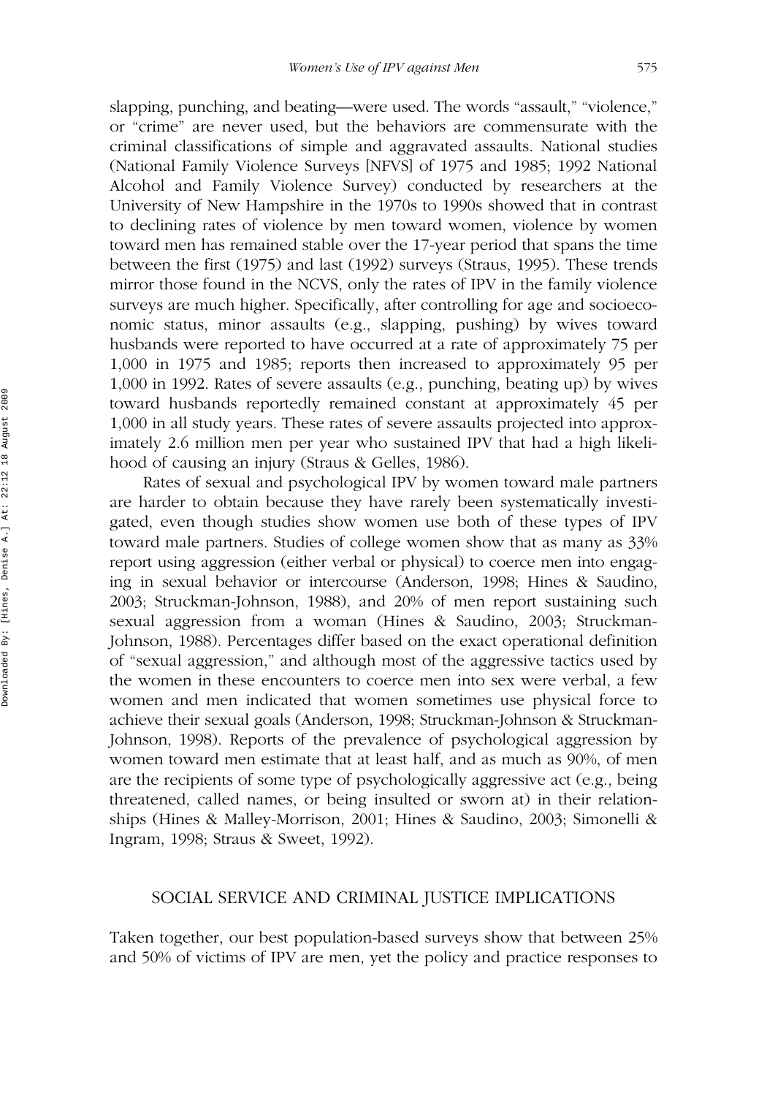slapping, punching, and beating—were used. The words "assault," "violence," or "crime" are never used, but the behaviors are commensurate with the criminal classifications of simple and aggravated assaults. National studies (National Family Violence Surveys [NFVS] of 1975 and 1985; 1992 National Alcohol and Family Violence Survey) conducted by researchers at the University of New Hampshire in the 1970s to 1990s showed that in contrast to declining rates of violence by men toward women, violence by women toward men has remained stable over the 17-year period that spans the time between the first (1975) and last (1992) surveys (Straus, 1995). These trends mirror those found in the NCVS, only the rates of IPV in the family violence surveys are much higher. Specifically, after controlling for age and socioeconomic status, minor assaults (e.g., slapping, pushing) by wives toward husbands were reported to have occurred at a rate of approximately 75 per 1,000 in 1975 and 1985; reports then increased to approximately 95 per 1,000 in 1992. Rates of severe assaults (e.g., punching, beating up) by wives toward husbands reportedly remained constant at approximately 45 per 1,000 in all study years. These rates of severe assaults projected into approximately 2.6 million men per year who sustained IPV that had a high likelihood of causing an injury (Straus & Gelles, 1986).

Rates of sexual and psychological IPV by women toward male partners are harder to obtain because they have rarely been systematically investigated, even though studies show women use both of these types of IPV toward male partners. Studies of college women show that as many as 33% report using aggression (either verbal or physical) to coerce men into engaging in sexual behavior or intercourse (Anderson, 1998; Hines & Saudino, 2003; Struckman-Johnson, 1988), and 20% of men report sustaining such sexual aggression from a woman (Hines & Saudino, 2003; Struckman-Johnson, 1988). Percentages differ based on the exact operational definition of "sexual aggression," and although most of the aggressive tactics used by the women in these encounters to coerce men into sex were verbal, a few women and men indicated that women sometimes use physical force to achieve their sexual goals (Anderson, 1998; Struckman-Johnson & Struckman-Johnson, 1998). Reports of the prevalence of psychological aggression by women toward men estimate that at least half, and as much as 90%, of men are the recipients of some type of psychologically aggressive act (e.g., being threatened, called names, or being insulted or sworn at) in their relationships (Hines & Malley-Morrison, 2001; Hines & Saudino, 2003; Simonelli & Ingram, 1998; Straus & Sweet, 1992).

#### SOCIAL SERVICE AND CRIMINAL JUSTICE IMPLICATIONS

Taken together, our best population-based surveys show that between 25% and 50% of victims of IPV are men, yet the policy and practice responses to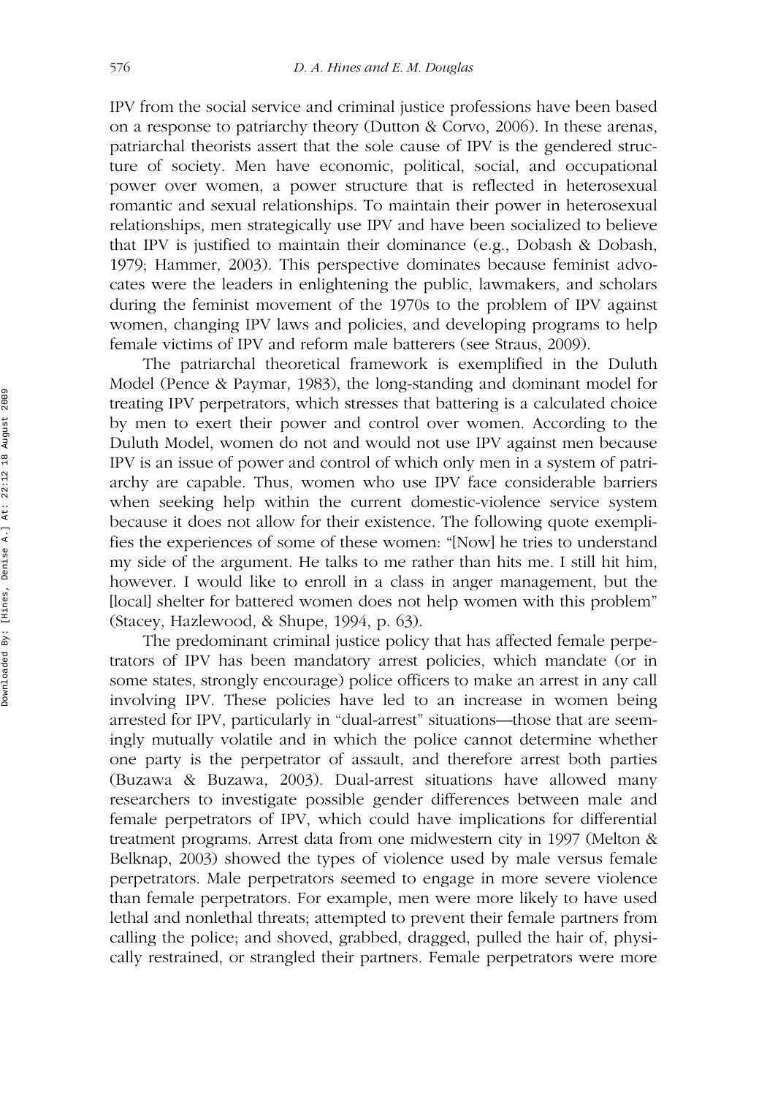IPV from the social service and criminal justice professions have been based on a response to patriarchy theory (Dutton & Corvo, 2006). In these arenas, patriarchal theorists assert that the sole cause of IPV is the gendered structure of society. Men have economic, political, social, and occupational power over women, a power structure that is reflected in heterosexual romantic and sexual relationships. To maintain their power in heterosexual relationships, men strategically use IPV and have been socialized to believe that IPV is justified to maintain their dominance (e.g., Dobash & Dobash, 1979; Hammer, 2003). This perspective dominates because feminist advocates were the leaders in enlightening the public, lawmakers, and scholars during the feminist movement of the 1970s to the problem of IPV against women, changing IPV laws and policies, and developing programs to help female victims of IPV and reform male batterers (see Straus, 2009).

The patriarchal theoretical framework is exemplified in the Duluth Model (Pence & Paymar, 1983), the long-standing and dominant model for treating IPV perpetrators, which stresses that battering is a calculated choice by men to exert their power and control over women. According to the Duluth Model, women do not and would not use IPV against men because IPV is an issue of power and control of which only men in a system of patriarchy are capable. Thus, women who use IPV face considerable barriers when seeking help within the current domestic-violence service system because it does not allow for their existence. The following quote exemplifies the experiences of some of these women: "[Now] he tries to understand my side of the argument. He talks to me rather than hits me. I still hit him, however. I would like to enroll in a class in anger management, but the [local] shelter for battered women does not help women with this problem" (Stacey, Hazlewood, & Shupe, 1994, p. 63).

The predominant criminal justice policy that has affected female perpetrators of IPV has been mandatory arrest policies, which mandate (or in some states, strongly encourage) police officers to make an arrest in any call involving IPV. These policies have led to an increase in women being arrested for IPV, particularly in "dual-arrest" situations—those that are seemingly mutually volatile and in which the police cannot determine whether one party is the perpetrator of assault, and therefore arrest both parties (Buzawa & Buzawa, 2003). Dual-arrest situations have allowed many researchers to investigate possible gender differences between male and female perpetrators of IPV, which could have implications for differential treatment programs. Arrest data from one midwestern city in 1997 (Melton & Belknap, 2003) showed the types of violence used by male versus female perpetrators. Male perpetrators seemed to engage in more severe violence than female perpetrators. For example, men were more likely to have used lethal and nonlethal threats; attempted to prevent their female partners from calling the police; and shoved, grabbed, dragged, pulled the hair of, physically restrained, or strangled their partners. Female perpetrators were more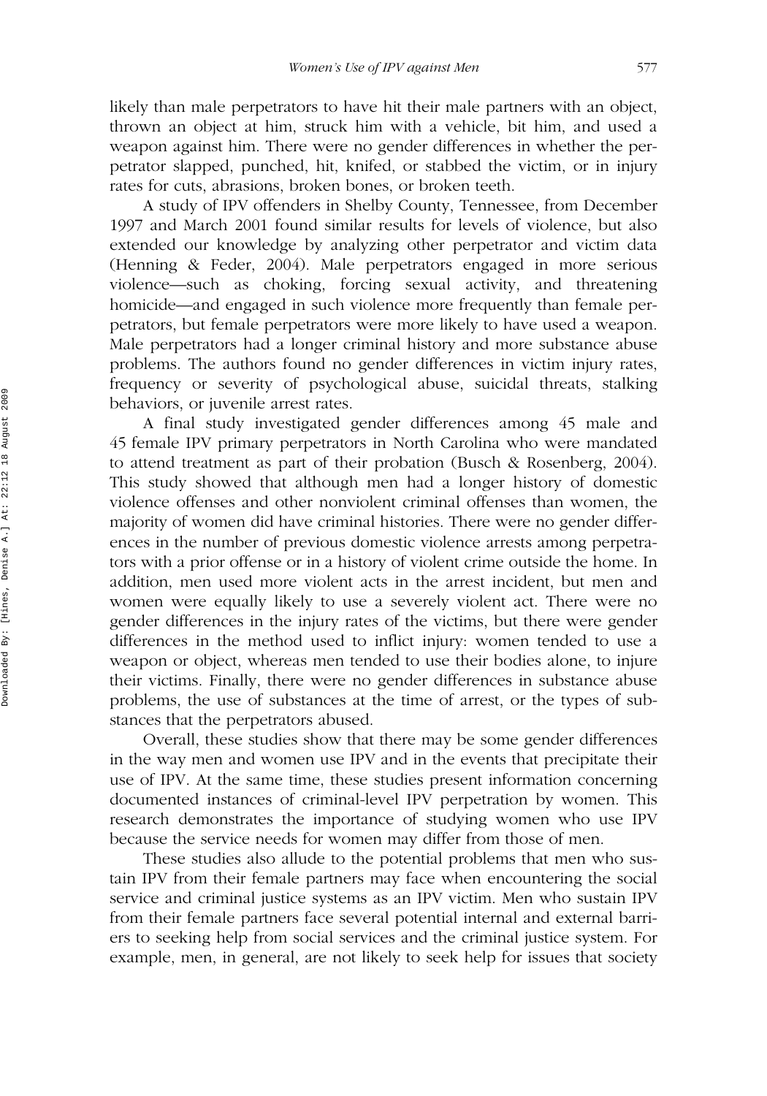likely than male perpetrators to have hit their male partners with an object, thrown an object at him, struck him with a vehicle, bit him, and used a weapon against him. There were no gender differences in whether the perpetrator slapped, punched, hit, knifed, or stabbed the victim, or in injury rates for cuts, abrasions, broken bones, or broken teeth.

A study of IPV offenders in Shelby County, Tennessee, from December 1997 and March 2001 found similar results for levels of violence, but also extended our knowledge by analyzing other perpetrator and victim data (Henning & Feder, 2004). Male perpetrators engaged in more serious violence—such as choking, forcing sexual activity, and threatening homicide—and engaged in such violence more frequently than female perpetrators, but female perpetrators were more likely to have used a weapon. Male perpetrators had a longer criminal history and more substance abuse problems. The authors found no gender differences in victim injury rates, frequency or severity of psychological abuse, suicidal threats, stalking behaviors, or juvenile arrest rates.

A final study investigated gender differences among 45 male and 45 female IPV primary perpetrators in North Carolina who were mandated to attend treatment as part of their probation (Busch & Rosenberg, 2004). This study showed that although men had a longer history of domestic violence offenses and other nonviolent criminal offenses than women, the majority of women did have criminal histories. There were no gender differences in the number of previous domestic violence arrests among perpetrators with a prior offense or in a history of violent crime outside the home. In addition, men used more violent acts in the arrest incident, but men and women were equally likely to use a severely violent act. There were no gender differences in the injury rates of the victims, but there were gender differences in the method used to inflict injury: women tended to use a weapon or object, whereas men tended to use their bodies alone, to injure their victims. Finally, there were no gender differences in substance abuse problems, the use of substances at the time of arrest, or the types of substances that the perpetrators abused.

Overall, these studies show that there may be some gender differences in the way men and women use IPV and in the events that precipitate their use of IPV. At the same time, these studies present information concerning documented instances of criminal-level IPV perpetration by women. This research demonstrates the importance of studying women who use IPV because the service needs for women may differ from those of men.

These studies also allude to the potential problems that men who sustain IPV from their female partners may face when encountering the social service and criminal justice systems as an IPV victim. Men who sustain IPV from their female partners face several potential internal and external barriers to seeking help from social services and the criminal justice system. For example, men, in general, are not likely to seek help for issues that society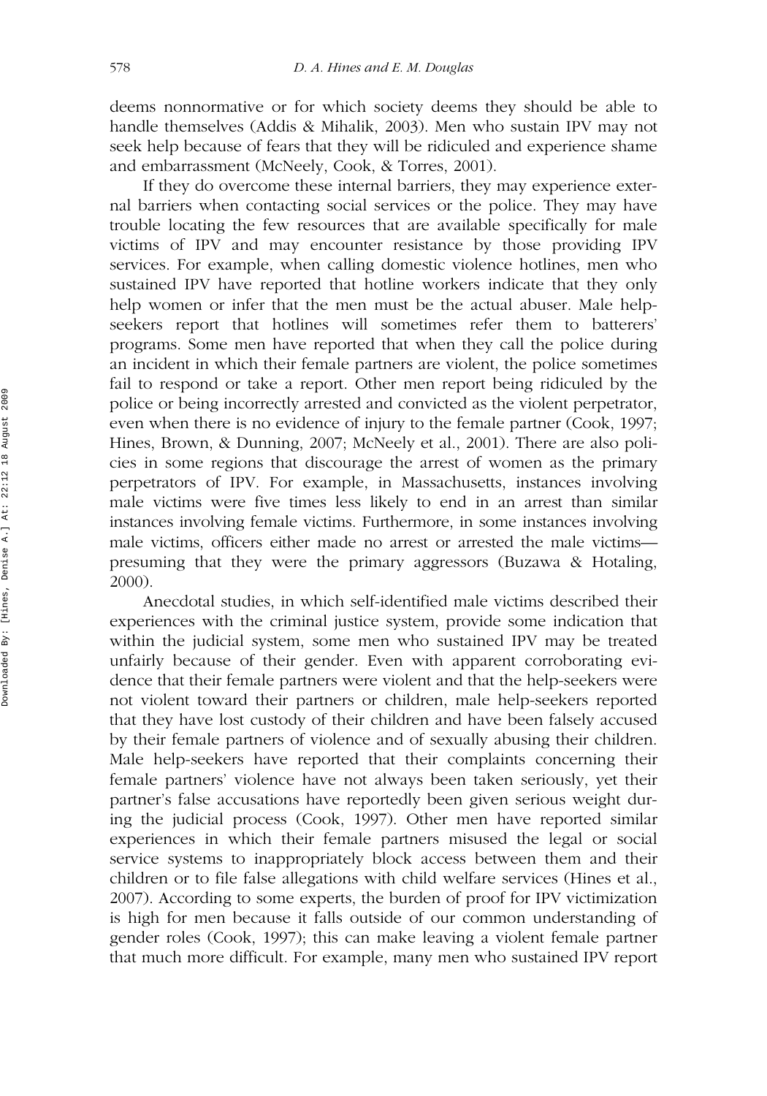deems nonnormative or for which society deems they should be able to handle themselves (Addis & Mihalik, 2003). Men who sustain IPV may not seek help because of fears that they will be ridiculed and experience shame and embarrassment (McNeely, Cook, & Torres, 2001).

If they do overcome these internal barriers, they may experience external barriers when contacting social services or the police. They may have trouble locating the few resources that are available specifically for male victims of IPV and may encounter resistance by those providing IPV services. For example, when calling domestic violence hotlines, men who sustained IPV have reported that hotline workers indicate that they only help women or infer that the men must be the actual abuser. Male helpseekers report that hotlines will sometimes refer them to batterers' programs. Some men have reported that when they call the police during an incident in which their female partners are violent, the police sometimes fail to respond or take a report. Other men report being ridiculed by the police or being incorrectly arrested and convicted as the violent perpetrator, even when there is no evidence of injury to the female partner (Cook, 1997; Hines, Brown, & Dunning, 2007; McNeely et al., 2001). There are also policies in some regions that discourage the arrest of women as the primary perpetrators of IPV. For example, in Massachusetts, instances involving male victims were five times less likely to end in an arrest than similar instances involving female victims. Furthermore, in some instances involving male victims, officers either made no arrest or arrested the male victims presuming that they were the primary aggressors (Buzawa & Hotaling, 2000).

Anecdotal studies, in which self-identified male victims described their experiences with the criminal justice system, provide some indication that within the judicial system, some men who sustained IPV may be treated unfairly because of their gender. Even with apparent corroborating evidence that their female partners were violent and that the help-seekers were not violent toward their partners or children, male help-seekers reported that they have lost custody of their children and have been falsely accused by their female partners of violence and of sexually abusing their children. Male help-seekers have reported that their complaints concerning their female partners' violence have not always been taken seriously, yet their partner's false accusations have reportedly been given serious weight during the judicial process (Cook, 1997). Other men have reported similar experiences in which their female partners misused the legal or social service systems to inappropriately block access between them and their children or to file false allegations with child welfare services (Hines et al., 2007). According to some experts, the burden of proof for IPV victimization is high for men because it falls outside of our common understanding of gender roles (Cook, 1997); this can make leaving a violent female partner that much more difficult. For example, many men who sustained IPV report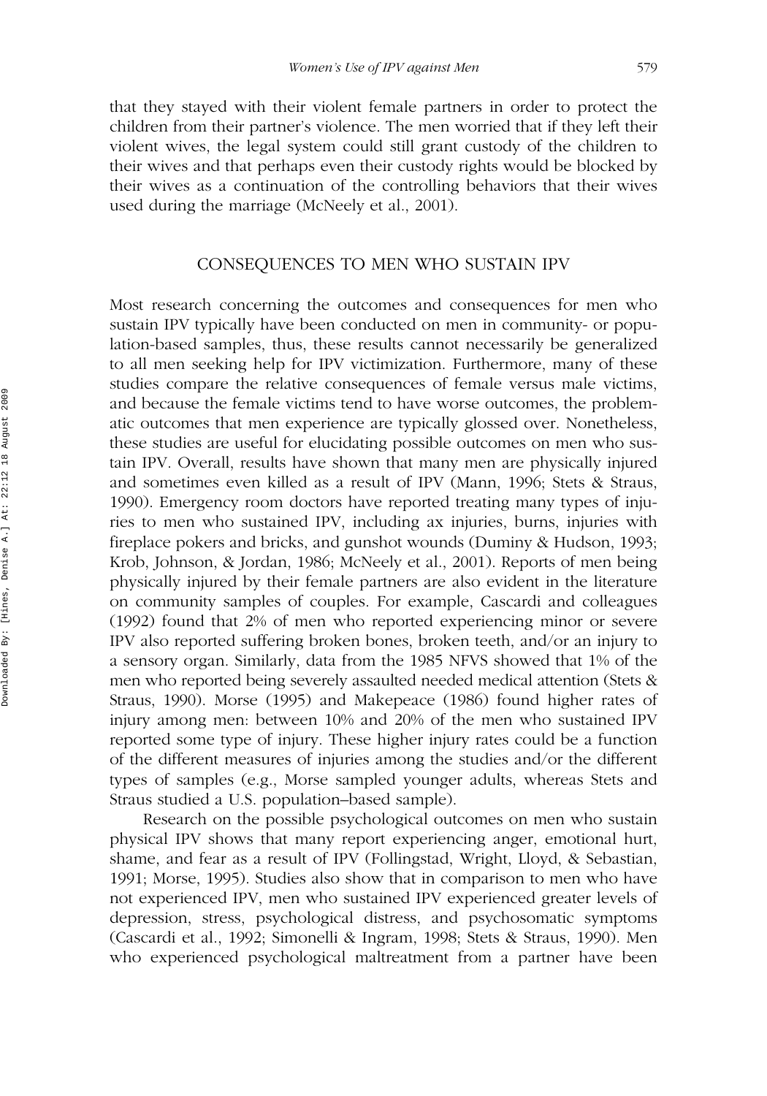that they stayed with their violent female partners in order to protect the children from their partner's violence. The men worried that if they left their violent wives, the legal system could still grant custody of the children to their wives and that perhaps even their custody rights would be blocked by their wives as a continuation of the controlling behaviors that their wives used during the marriage (McNeely et al., 2001).

# CONSEQUENCES TO MEN WHO SUSTAIN IPV

Most research concerning the outcomes and consequences for men who sustain IPV typically have been conducted on men in community- or population-based samples, thus, these results cannot necessarily be generalized to all men seeking help for IPV victimization. Furthermore, many of these studies compare the relative consequences of female versus male victims, and because the female victims tend to have worse outcomes, the problematic outcomes that men experience are typically glossed over. Nonetheless, these studies are useful for elucidating possible outcomes on men who sustain IPV. Overall, results have shown that many men are physically injured and sometimes even killed as a result of IPV (Mann, 1996; Stets & Straus, 1990). Emergency room doctors have reported treating many types of injuries to men who sustained IPV, including ax injuries, burns, injuries with fireplace pokers and bricks, and gunshot wounds (Duminy & Hudson, 1993; Krob, Johnson, & Jordan, 1986; McNeely et al., 2001). Reports of men being physically injured by their female partners are also evident in the literature on community samples of couples. For example, Cascardi and colleagues (1992) found that 2% of men who reported experiencing minor or severe IPV also reported suffering broken bones, broken teeth, and/or an injury to a sensory organ. Similarly, data from the 1985 NFVS showed that 1% of the men who reported being severely assaulted needed medical attention (Stets & Straus, 1990). Morse (1995) and Makepeace (1986) found higher rates of injury among men: between 10% and 20% of the men who sustained IPV reported some type of injury. These higher injury rates could be a function of the different measures of injuries among the studies and/or the different types of samples (e.g., Morse sampled younger adults, whereas Stets and Straus studied a U.S. population–based sample).

Research on the possible psychological outcomes on men who sustain physical IPV shows that many report experiencing anger, emotional hurt, shame, and fear as a result of IPV (Follingstad, Wright, Lloyd, & Sebastian, 1991; Morse, 1995). Studies also show that in comparison to men who have not experienced IPV, men who sustained IPV experienced greater levels of depression, stress, psychological distress, and psychosomatic symptoms (Cascardi et al., 1992; Simonelli & Ingram, 1998; Stets & Straus, 1990). Men who experienced psychological maltreatment from a partner have been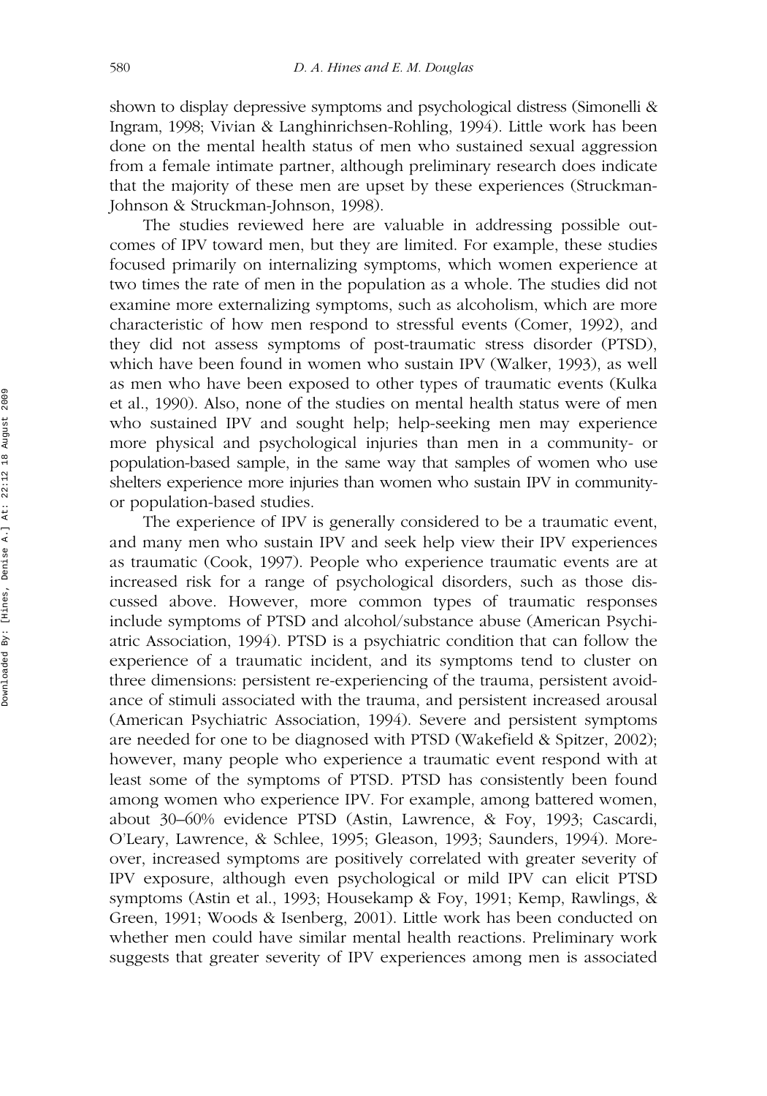shown to display depressive symptoms and psychological distress (Simonelli & Ingram, 1998; Vivian & Langhinrichsen-Rohling, 1994). Little work has been done on the mental health status of men who sustained sexual aggression from a female intimate partner, although preliminary research does indicate that the majority of these men are upset by these experiences (Struckman-Johnson & Struckman-Johnson, 1998).

The studies reviewed here are valuable in addressing possible outcomes of IPV toward men, but they are limited. For example, these studies focused primarily on internalizing symptoms, which women experience at two times the rate of men in the population as a whole. The studies did not examine more externalizing symptoms, such as alcoholism, which are more characteristic of how men respond to stressful events (Comer, 1992), and they did not assess symptoms of post-traumatic stress disorder (PTSD), which have been found in women who sustain IPV (Walker, 1993), as well as men who have been exposed to other types of traumatic events (Kulka et al., 1990). Also, none of the studies on mental health status were of men who sustained IPV and sought help; help-seeking men may experience more physical and psychological injuries than men in a community- or population-based sample, in the same way that samples of women who use shelters experience more injuries than women who sustain IPV in communityor population-based studies.

The experience of IPV is generally considered to be a traumatic event, and many men who sustain IPV and seek help view their IPV experiences as traumatic (Cook, 1997). People who experience traumatic events are at increased risk for a range of psychological disorders, such as those discussed above. However, more common types of traumatic responses include symptoms of PTSD and alcohol/substance abuse (American Psychiatric Association, 1994). PTSD is a psychiatric condition that can follow the experience of a traumatic incident, and its symptoms tend to cluster on three dimensions: persistent re-experiencing of the trauma, persistent avoidance of stimuli associated with the trauma, and persistent increased arousal (American Psychiatric Association, 1994). Severe and persistent symptoms are needed for one to be diagnosed with PTSD (Wakefield & Spitzer, 2002); however, many people who experience a traumatic event respond with at least some of the symptoms of PTSD. PTSD has consistently been found among women who experience IPV. For example, among battered women, about 30–60% evidence PTSD (Astin, Lawrence, & Foy, 1993; Cascardi, O'Leary, Lawrence, & Schlee, 1995; Gleason, 1993; Saunders, 1994). Moreover, increased symptoms are positively correlated with greater severity of IPV exposure, although even psychological or mild IPV can elicit PTSD symptoms (Astin et al., 1993; Housekamp & Foy, 1991; Kemp, Rawlings, & Green, 1991; Woods & Isenberg, 2001). Little work has been conducted on whether men could have similar mental health reactions. Preliminary work suggests that greater severity of IPV experiences among men is associated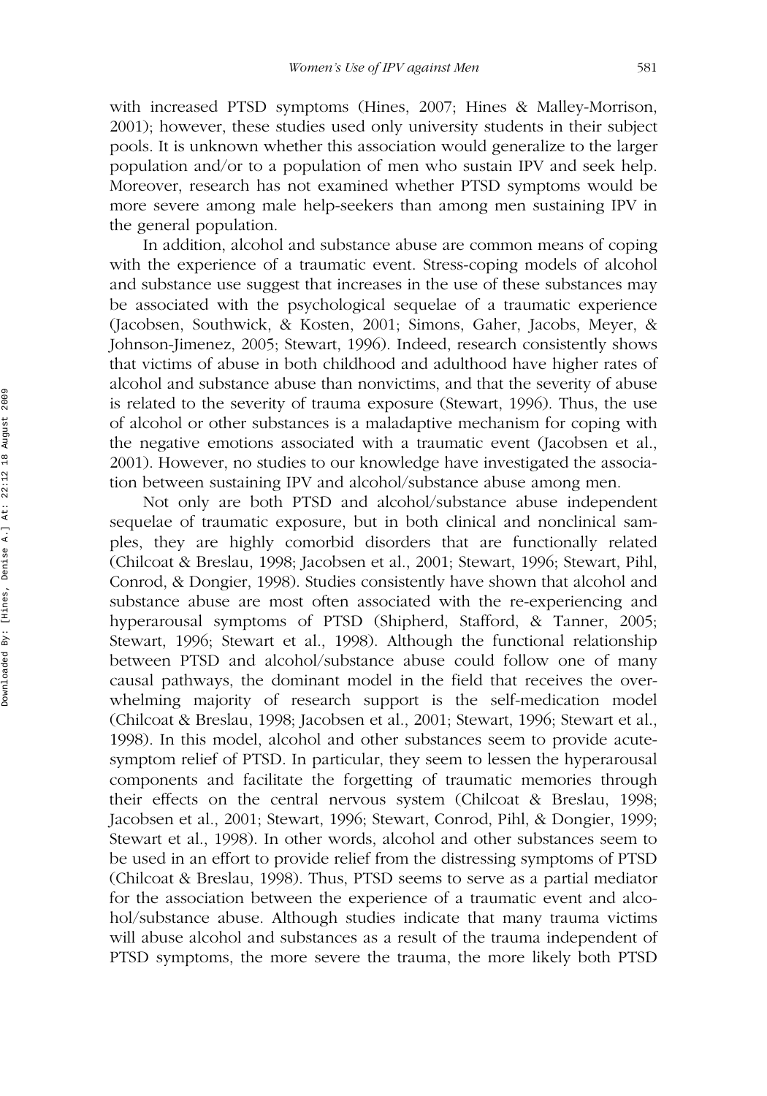with increased PTSD symptoms (Hines, 2007; Hines & Malley-Morrison, 2001); however, these studies used only university students in their subject pools. It is unknown whether this association would generalize to the larger population and/or to a population of men who sustain IPV and seek help. Moreover, research has not examined whether PTSD symptoms would be more severe among male help-seekers than among men sustaining IPV in the general population.

In addition, alcohol and substance abuse are common means of coping with the experience of a traumatic event. Stress-coping models of alcohol and substance use suggest that increases in the use of these substances may be associated with the psychological sequelae of a traumatic experience (Jacobsen, Southwick, & Kosten, 2001; Simons, Gaher, Jacobs, Meyer, & Johnson-Jimenez, 2005; Stewart, 1996). Indeed, research consistently shows that victims of abuse in both childhood and adulthood have higher rates of alcohol and substance abuse than nonvictims, and that the severity of abuse is related to the severity of trauma exposure (Stewart, 1996). Thus, the use of alcohol or other substances is a maladaptive mechanism for coping with the negative emotions associated with a traumatic event (Jacobsen et al., 2001). However, no studies to our knowledge have investigated the association between sustaining IPV and alcohol/substance abuse among men.

Not only are both PTSD and alcohol/substance abuse independent sequelae of traumatic exposure, but in both clinical and nonclinical samples, they are highly comorbid disorders that are functionally related (Chilcoat & Breslau, 1998; Jacobsen et al., 2001; Stewart, 1996; Stewart, Pihl, Conrod, & Dongier, 1998). Studies consistently have shown that alcohol and substance abuse are most often associated with the re-experiencing and hyperarousal symptoms of PTSD (Shipherd, Stafford, & Tanner, 2005; Stewart, 1996; Stewart et al., 1998). Although the functional relationship between PTSD and alcohol/substance abuse could follow one of many causal pathways, the dominant model in the field that receives the overwhelming majority of research support is the self-medication model (Chilcoat & Breslau, 1998; Jacobsen et al., 2001; Stewart, 1996; Stewart et al., 1998). In this model, alcohol and other substances seem to provide acutesymptom relief of PTSD. In particular, they seem to lessen the hyperarousal components and facilitate the forgetting of traumatic memories through their effects on the central nervous system (Chilcoat & Breslau, 1998; Jacobsen et al., 2001; Stewart, 1996; Stewart, Conrod, Pihl, & Dongier, 1999; Stewart et al., 1998). In other words, alcohol and other substances seem to be used in an effort to provide relief from the distressing symptoms of PTSD (Chilcoat & Breslau, 1998). Thus, PTSD seems to serve as a partial mediator for the association between the experience of a traumatic event and alcohol/substance abuse. Although studies indicate that many trauma victims will abuse alcohol and substances as a result of the trauma independent of PTSD symptoms, the more severe the trauma, the more likely both PTSD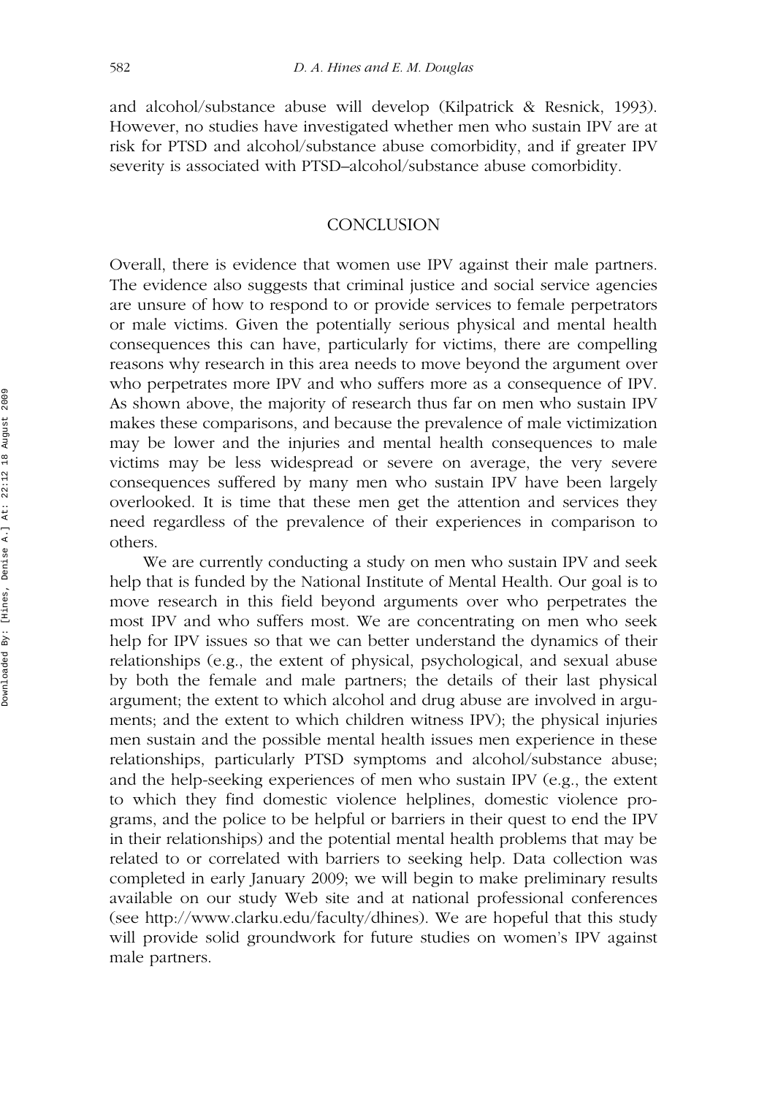and alcohol/substance abuse will develop (Kilpatrick & Resnick, 1993). However, no studies have investigated whether men who sustain IPV are at risk for PTSD and alcohol/substance abuse comorbidity, and if greater IPV severity is associated with PTSD–alcohol/substance abuse comorbidity.

# **CONCLUSION**

Overall, there is evidence that women use IPV against their male partners. The evidence also suggests that criminal justice and social service agencies are unsure of how to respond to or provide services to female perpetrators or male victims. Given the potentially serious physical and mental health consequences this can have, particularly for victims, there are compelling reasons why research in this area needs to move beyond the argument over who perpetrates more IPV and who suffers more as a consequence of IPV. As shown above, the majority of research thus far on men who sustain IPV makes these comparisons, and because the prevalence of male victimization may be lower and the injuries and mental health consequences to male victims may be less widespread or severe on average, the very severe consequences suffered by many men who sustain IPV have been largely overlooked. It is time that these men get the attention and services they need regardless of the prevalence of their experiences in comparison to others.

We are currently conducting a study on men who sustain IPV and seek help that is funded by the National Institute of Mental Health. Our goal is to move research in this field beyond arguments over who perpetrates the most IPV and who suffers most. We are concentrating on men who seek help for IPV issues so that we can better understand the dynamics of their relationships (e.g., the extent of physical, psychological, and sexual abuse by both the female and male partners; the details of their last physical argument; the extent to which alcohol and drug abuse are involved in arguments; and the extent to which children witness IPV); the physical injuries men sustain and the possible mental health issues men experience in these relationships, particularly PTSD symptoms and alcohol/substance abuse; and the help-seeking experiences of men who sustain IPV (e.g., the extent to which they find domestic violence helplines, domestic violence programs, and the police to be helpful or barriers in their quest to end the IPV in their relationships) and the potential mental health problems that may be related to or correlated with barriers to seeking help. Data collection was completed in early January 2009; we will begin to make preliminary results available on our study Web site and at national professional conferences (see http://www.clarku.edu/faculty/dhines). We are hopeful that this study will provide solid groundwork for future studies on women's IPV against male partners.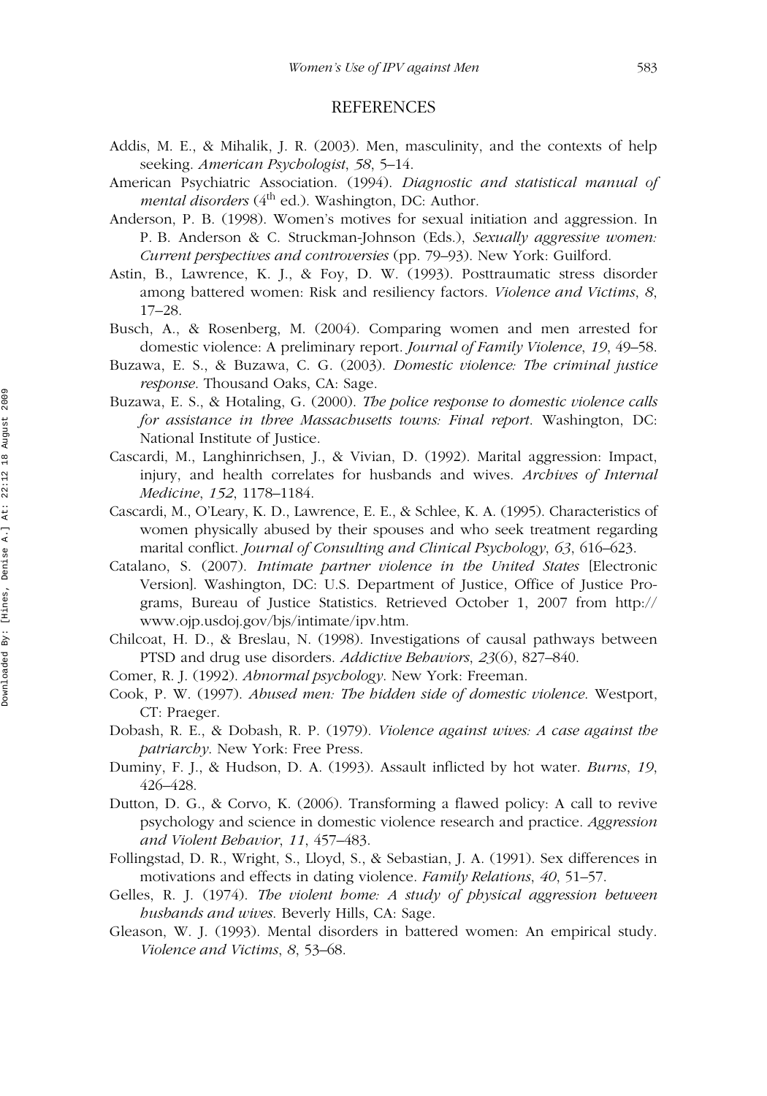# REFERENCES

- Addis, M. E., & Mihalik, J. R. (2003). Men, masculinity, and the contexts of help seeking. *American Psychologist*, *58*, 5–14.
- American Psychiatric Association. (1994). *Diagnostic and statistical manual of mental disorders* (4<sup>th</sup> ed.). Washington, DC: Author.
- Anderson, P. B. (1998). Women's motives for sexual initiation and aggression. In P. B. Anderson & C. Struckman-Johnson (Eds.), *Sexually aggressive women: Current perspectives and controversies* (pp. 79–93). New York: Guilford.
- Astin, B., Lawrence, K. J., & Foy, D. W. (1993). Posttraumatic stress disorder among battered women: Risk and resiliency factors. *Violence and Victims*, *8*, 17–28.
- Busch, A., & Rosenberg, M. (2004). Comparing women and men arrested for domestic violence: A preliminary report. *Journal of Family Violence*, *19*, 49–58.
- Buzawa, E. S., & Buzawa, C. G. (2003). *Domestic violence: The criminal justice response*. Thousand Oaks, CA: Sage.
- Buzawa, E. S., & Hotaling, G. (2000). *The police response to domestic violence calls for assistance in three Massachusetts towns: Final report*. Washington, DC: National Institute of Justice.
- Cascardi, M., Langhinrichsen, J., & Vivian, D. (1992). Marital aggression: Impact, injury, and health correlates for husbands and wives. *Archives of Internal Medicine*, *152*, 1178–1184.
- Cascardi, M., O'Leary, K. D., Lawrence, E. E., & Schlee, K. A. (1995). Characteristics of women physically abused by their spouses and who seek treatment regarding marital conflict. *Journal of Consulting and Clinical Psychology*, *63*, 616–623.
- Catalano, S. (2007). *Intimate partner violence in the United States* [Electronic Version]. Washington, DC: U.S. Department of Justice, Office of Justice Programs, Bureau of Justice Statistics. Retrieved October 1, 2007 from http:// www.ojp.usdoj.gov/bjs/intimate/ipv.htm.
- Chilcoat, H. D., & Breslau, N. (1998). Investigations of causal pathways between PTSD and drug use disorders. *Addictive Behaviors*, *23*(6), 827–840.
- Comer, R. J. (1992). *Abnormal psychology*. New York: Freeman.
- Cook, P. W. (1997). *Abused men: The hidden side of domestic violence*. Westport, CT: Praeger.
- Dobash, R. E., & Dobash, R. P. (1979). *Violence against wives: A case against the patriarchy*. New York: Free Press.
- Duminy, F. J., & Hudson, D. A. (1993). Assault inflicted by hot water. *Burns*, *19*, 426–428.
- Dutton, D. G., & Corvo, K. (2006). Transforming a flawed policy: A call to revive psychology and science in domestic violence research and practice. *Aggression and Violent Behavior*, *11*, 457–483.
- Follingstad, D. R., Wright, S., Lloyd, S., & Sebastian, J. A. (1991). Sex differences in motivations and effects in dating violence. *Family Relations*, *40*, 51–57.
- Gelles, R. J. (1974). *The violent home: A study of physical aggression between husbands and wives*. Beverly Hills, CA: Sage.
- Gleason, W. J. (1993). Mental disorders in battered women: An empirical study. *Violence and Victims*, *8*, 53–68.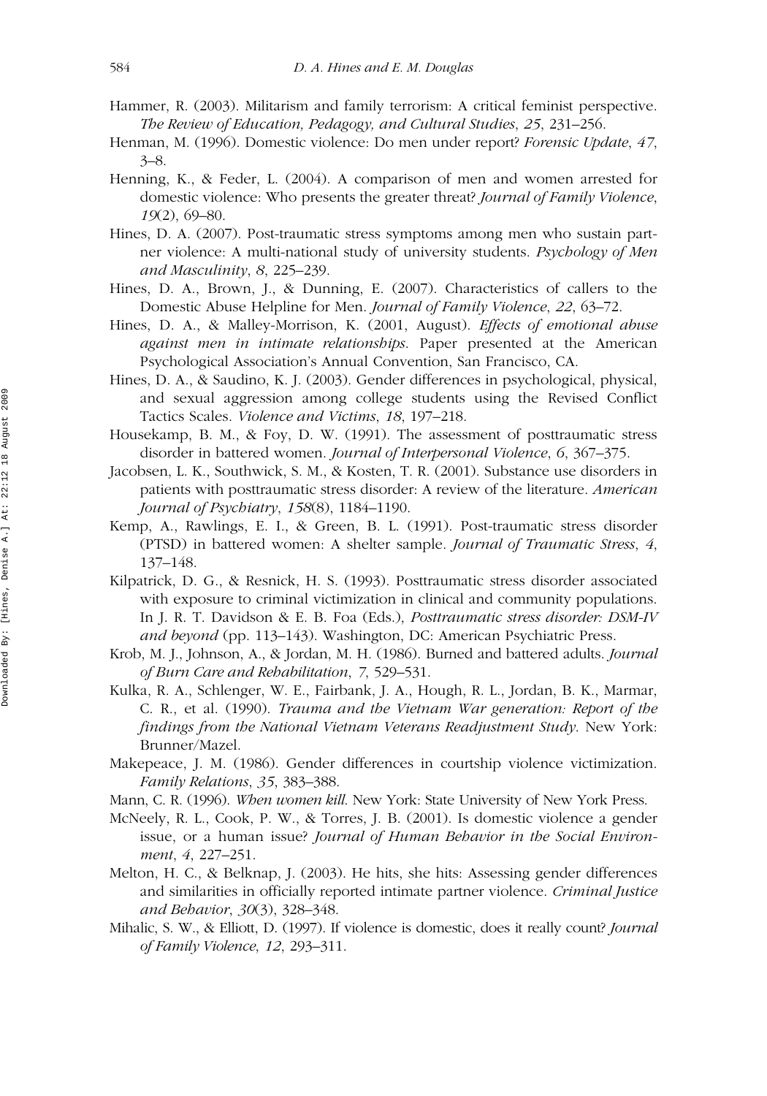- Hammer, R. (2003). Militarism and family terrorism: A critical feminist perspective. *The Review of Education, Pedagogy, and Cultural Studies*, *25*, 231–256.
- Henman, M. (1996). Domestic violence: Do men under report? *Forensic Update*, *47*, 3–8.
- Henning, K., & Feder, L. (2004). A comparison of men and women arrested for domestic violence: Who presents the greater threat? *Journal of Family Violence*, *19*(2), 69–80.
- Hines, D. A. (2007). Post-traumatic stress symptoms among men who sustain partner violence: A multi-national study of university students. *Psychology of Men and Masculinity*, *8*, 225–239.
- Hines, D. A., Brown, J., & Dunning, E. (2007). Characteristics of callers to the Domestic Abuse Helpline for Men. *Journal of Family Violence*, *22*, 63–72.
- Hines, D. A., & Malley-Morrison, K. (2001, August). *Effects of emotional abuse against men in intimate relationships*. Paper presented at the American Psychological Association's Annual Convention, San Francisco, CA.
- Hines, D. A., & Saudino, K. J. (2003). Gender differences in psychological, physical, and sexual aggression among college students using the Revised Conflict Tactics Scales. *Violence and Victims*, *18*, 197–218.
- Housekamp, B. M., & Foy, D. W. (1991). The assessment of posttraumatic stress disorder in battered women. *Journal of Interpersonal Violence*, *6*, 367–375.
- Jacobsen, L. K., Southwick, S. M., & Kosten, T. R. (2001). Substance use disorders in patients with posttraumatic stress disorder: A review of the literature. *American Journal of Psychiatry*, *158*(8), 1184–1190.
- Kemp, A., Rawlings, E. I., & Green, B. L. (1991). Post-traumatic stress disorder (PTSD) in battered women: A shelter sample. *Journal of Traumatic Stress*, *4*, 137–148.
- Kilpatrick, D. G., & Resnick, H. S. (1993). Posttraumatic stress disorder associated with exposure to criminal victimization in clinical and community populations. In J. R. T. Davidson & E. B. Foa (Eds.), *Posttraumatic stress disorder: DSM-IV and beyond* (pp. 113–143). Washington, DC: American Psychiatric Press.
- Krob, M. J., Johnson, A., & Jordan, M. H. (1986). Burned and battered adults. *Journal of Burn Care and Rehabilitation*, *7*, 529–531.
- Kulka, R. A., Schlenger, W. E., Fairbank, J. A., Hough, R. L., Jordan, B. K., Marmar, C. R., et al. (1990). *Trauma and the Vietnam War generation: Report of the findings from the National Vietnam Veterans Readjustment Study*. New York: Brunner/Mazel.
- Makepeace, J. M. (1986). Gender differences in courtship violence victimization. *Family Relations*, *35*, 383–388.
- Mann, C. R. (1996). *When women kill*. New York: State University of New York Press.
- McNeely, R. L., Cook, P. W., & Torres, J. B. (2001). Is domestic violence a gender issue, or a human issue? *Journal of Human Behavior in the Social Environment*, *4*, 227–251.
- Melton, H. C., & Belknap, J. (2003). He hits, she hits: Assessing gender differences and similarities in officially reported intimate partner violence. *Criminal Justice and Behavior*, *30*(3), 328–348.
- Mihalic, S. W., & Elliott, D. (1997). If violence is domestic, does it really count? *Journal of Family Violence*, *12*, 293–311.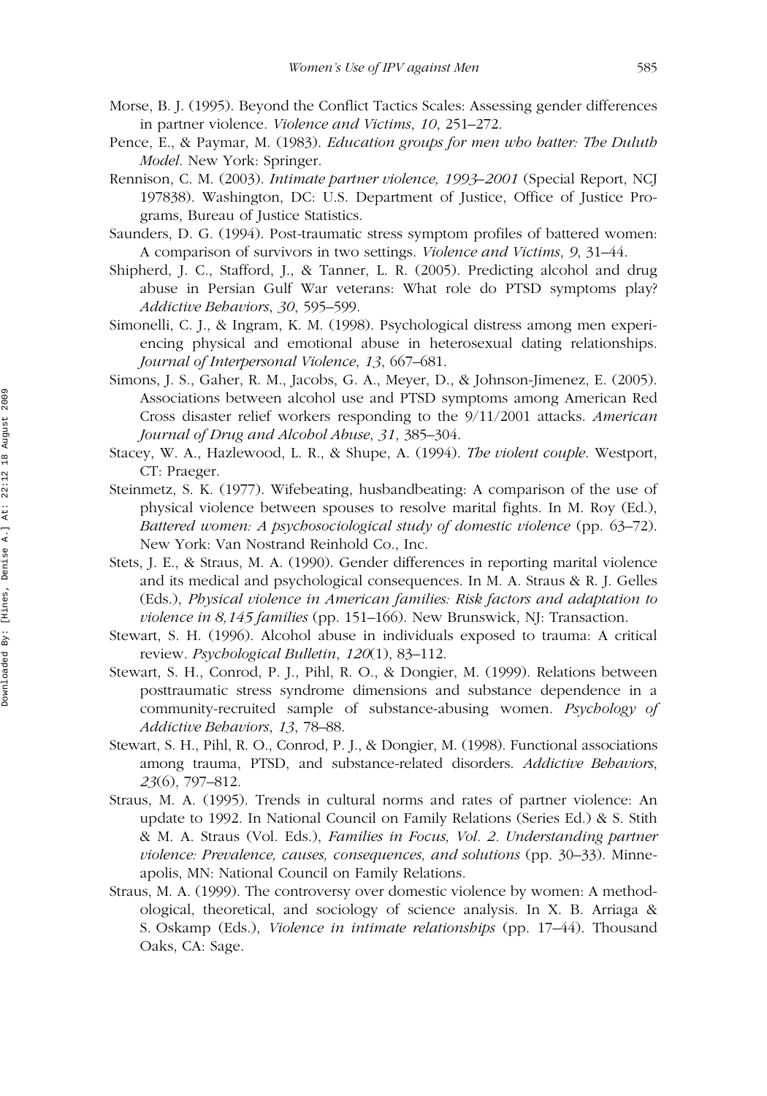- Morse, B. J. (1995). Beyond the Conflict Tactics Scales: Assessing gender differences in partner violence. *Violence and Victims*, *10*, 251–272.
- Pence, E., & Paymar, M. (1983). *Education groups for men who batter: The Duluth Model*. New York: Springer.
- Rennison, C. M. (2003). *Intimate partner violence, 1993–2001* (Special Report, NCJ 197838). Washington, DC: U.S. Department of Justice, Office of Justice Programs, Bureau of Justice Statistics.
- Saunders, D. G. (1994). Post-traumatic stress symptom profiles of battered women: A comparison of survivors in two settings. *Violence and Victims*, *9*, 31–44.
- Shipherd, J. C., Stafford, J., & Tanner, L. R. (2005). Predicting alcohol and drug abuse in Persian Gulf War veterans: What role do PTSD symptoms play? *Addictive Behaviors*, *30*, 595–599.
- Simonelli, C. J., & Ingram, K. M. (1998). Psychological distress among men experiencing physical and emotional abuse in heterosexual dating relationships. *Journal of Interpersonal Violence*, *13*, 667–681.
- Simons, J. S., Gaher, R. M., Jacobs, G. A., Meyer, D., & Johnson-Jimenez, E. (2005). Associations between alcohol use and PTSD symptoms among American Red Cross disaster relief workers responding to the 9/11/2001 attacks. *American Journal of Drug and Alcohol Abuse*, *31*, 385–304.
- Stacey, W. A., Hazlewood, L. R., & Shupe, A. (1994). *The violent couple*. Westport, CT: Praeger.
- Steinmetz, S. K. (1977). Wifebeating, husbandbeating: A comparison of the use of physical violence between spouses to resolve marital fights. In M. Roy (Ed.), *Battered women: A psychosociological study of domestic violence* (pp. 63–72). New York: Van Nostrand Reinhold Co., Inc.
- Stets, J. E., & Straus, M. A. (1990). Gender differences in reporting marital violence and its medical and psychological consequences. In M. A. Straus & R. J. Gelles (Eds.), *Physical violence in American families: Risk factors and adaptation to violence in 8,145 families* (pp. 151–166). New Brunswick, NJ: Transaction.
- Stewart, S. H. (1996). Alcohol abuse in individuals exposed to trauma: A critical review. *Psychological Bulletin*, *120*(1), 83–112.
- Stewart, S. H., Conrod, P. J., Pihl, R. O., & Dongier, M. (1999). Relations between posttraumatic stress syndrome dimensions and substance dependence in a community-recruited sample of substance-abusing women. *Psychology of Addictive Behaviors*, *13*, 78–88.
- Stewart, S. H., Pihl, R. O., Conrod, P. J., & Dongier, M. (1998). Functional associations among trauma, PTSD, and substance-related disorders. *Addictive Behaviors*, *23*(6), 797–812.
- Straus, M. A. (1995). Trends in cultural norms and rates of partner violence: An update to 1992. In National Council on Family Relations (Series Ed.) & S. Stith & M. A. Straus (Vol. Eds.), *Families in Focus, Vol. 2. Understanding partner violence: Prevalence, causes, consequences, and solutions* (pp. 30–33). Minneapolis, MN: National Council on Family Relations.
- Straus, M. A. (1999). The controversy over domestic violence by women: A methodological, theoretical, and sociology of science analysis. In X. B. Arriaga & S. Oskamp (Eds.), *Violence in intimate relationships* (pp. 17–44). Thousand Oaks, CA: Sage.